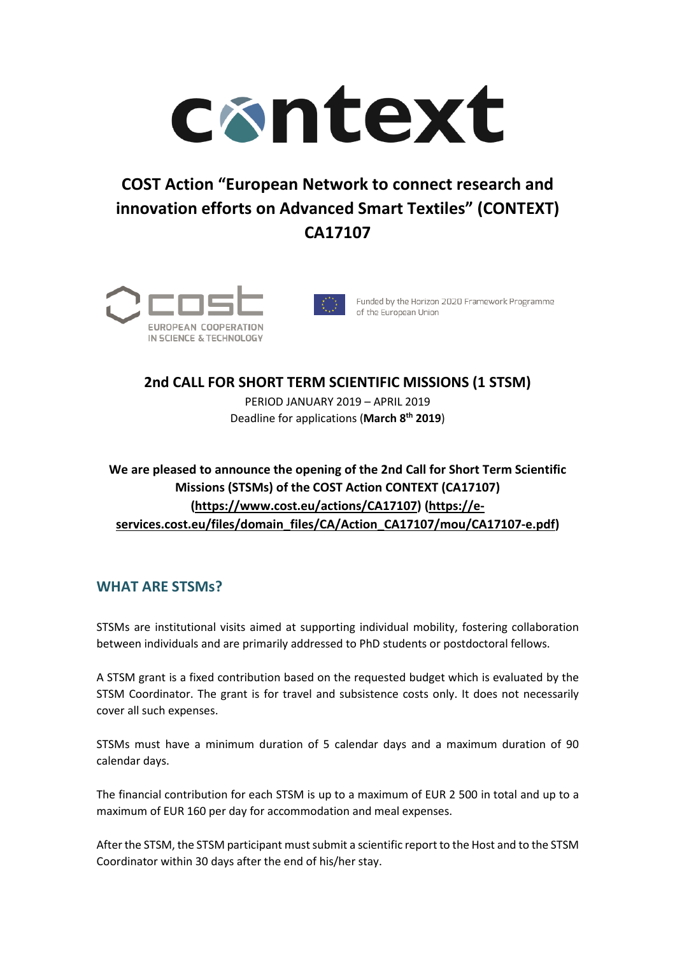

# **COST Action "European Network to connect research and innovation efforts on Advanced Smart Textiles" (CONTEXT) CA17107**





Funded by the Horizon 2020 Framework Programme of the European Union

## **2nd CALL FOR SHORT TERM SCIENTIFIC MISSIONS (1 STSM)**  PERIOD JANUARY 2019 – APRIL 2019 Deadline for applications (**March 8th 2019**)

#### **We are pleased to announce the opening of the 2nd Call for Short Term Scientific Missions (STSMs) of the COST Action CONTEXT (CA17107) (https://www.cost.eu/actions/CA17107) (https://eservices.cost.eu/files/domain\_files/CA/Action\_CA17107/mou/CA17107-e.pdf)**

### **WHAT ARE STSMs?**

STSMs are institutional visits aimed at supporting individual mobility, fostering collaboration between individuals and are primarily addressed to PhD students or postdoctoral fellows.

A STSM grant is a fixed contribution based on the requested budget which is evaluated by the STSM Coordinator. The grant is for travel and subsistence costs only. It does not necessarily cover all such expenses.

STSMs must have a minimum duration of 5 calendar days and a maximum duration of 90 calendar days.

The financial contribution for each STSM is up to a maximum of EUR 2 500 in total and up to a maximum of EUR 160 per day for accommodation and meal expenses.

After the STSM, the STSM participant must submit a scientific report to the Host and to the STSM Coordinator within 30 days after the end of his/her stay.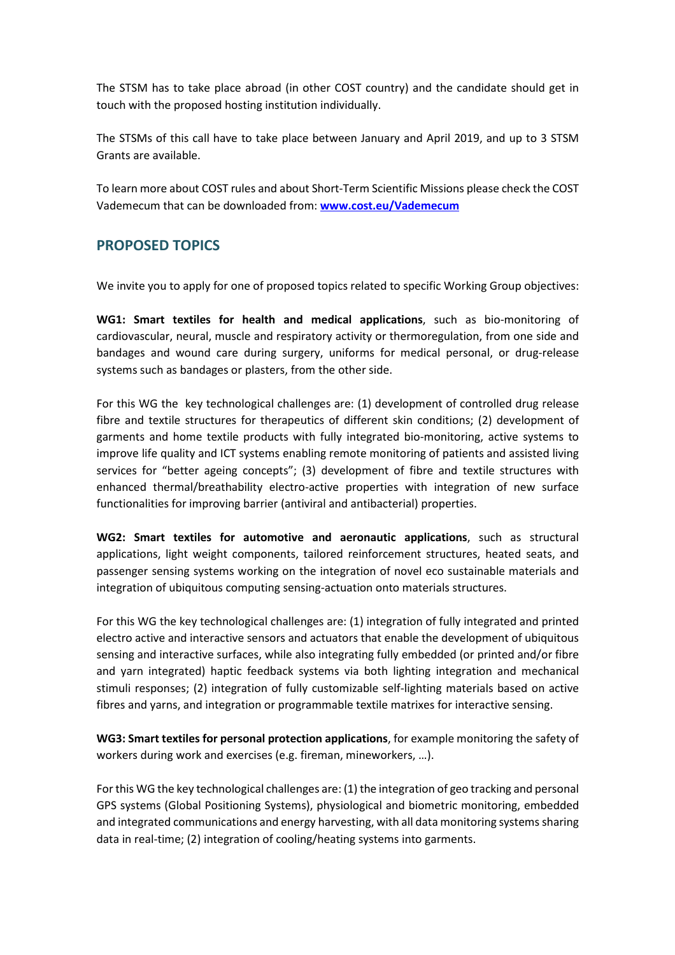The STSM has to take place abroad (in other COST country) and the candidate should get in touch with the proposed hosting institution individually.

The STSMs of this call have to take place between January and April 2019, and up to 3 STSM Grants are available.

To learn more about COST rules and about Short-Term Scientific Missions please check the COST Vademecum that can be downloaded from: **www.cost.eu/Vademecum** 

#### **PROPOSED TOPICS**

We invite you to apply for one of proposed topics related to specific Working Group objectives:

**WG1: Smart textiles for health and medical applications**, such as bio-monitoring of cardiovascular, neural, muscle and respiratory activity or thermoregulation, from one side and bandages and wound care during surgery, uniforms for medical personal, or drug-release systems such as bandages or plasters, from the other side.

For this WG the key technological challenges are: (1) development of controlled drug release fibre and textile structures for therapeutics of different skin conditions; (2) development of garments and home textile products with fully integrated bio-monitoring, active systems to improve life quality and ICT systems enabling remote monitoring of patients and assisted living services for "better ageing concepts"; (3) development of fibre and textile structures with enhanced thermal/breathability electro-active properties with integration of new surface functionalities for improving barrier (antiviral and antibacterial) properties.

**WG2: Smart textiles for automotive and aeronautic applications**, such as structural applications, light weight components, tailored reinforcement structures, heated seats, and passenger sensing systems working on the integration of novel eco sustainable materials and integration of ubiquitous computing sensing-actuation onto materials structures.

For this WG the key technological challenges are: (1) integration of fully integrated and printed electro active and interactive sensors and actuators that enable the development of ubiquitous sensing and interactive surfaces, while also integrating fully embedded (or printed and/or fibre and yarn integrated) haptic feedback systems via both lighting integration and mechanical stimuli responses; (2) integration of fully customizable self-lighting materials based on active fibres and yarns, and integration or programmable textile matrixes for interactive sensing.

**WG3: Smart textiles for personal protection applications**, for example monitoring the safety of workers during work and exercises (e.g. fireman, mineworkers, …).

For this WG the key technological challenges are: (1) the integration of geo tracking and personal GPS systems (Global Positioning Systems), physiological and biometric monitoring, embedded and integrated communications and energy harvesting, with all data monitoring systems sharing data in real-time; (2) integration of cooling/heating systems into garments.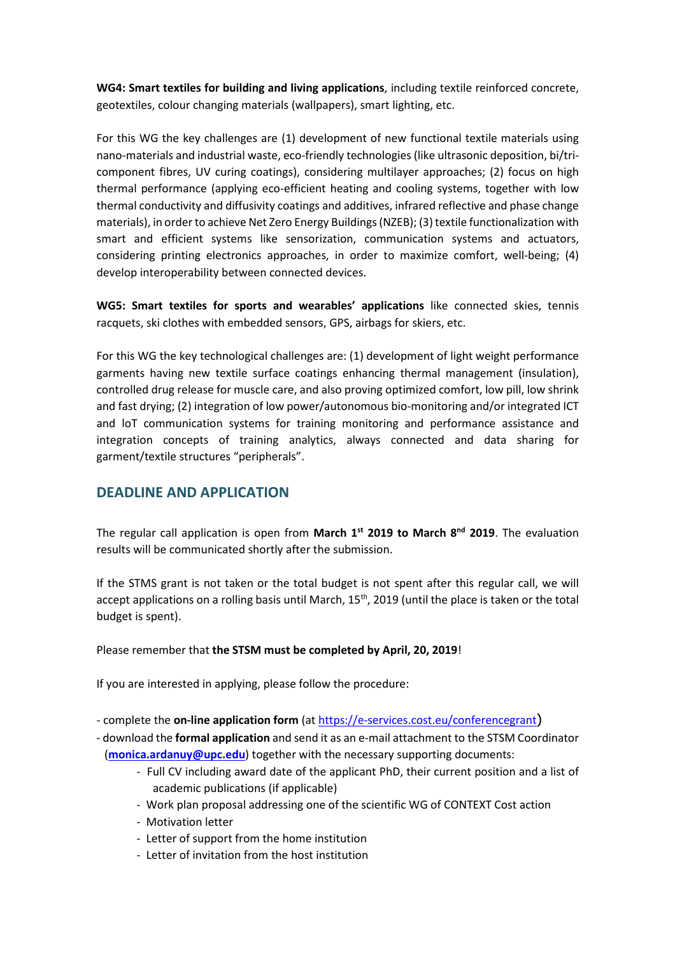**WG4: Smart textiles for building and living applications**, including textile reinforced concrete, geotextiles, colour changing materials (wallpapers), smart lighting, etc.

For this WG the key challenges are (1) development of new functional textile materials using nano-materials and industrial waste, eco-friendly technologies (like ultrasonic deposition, bi/tricomponent fibres, UV curing coatings), considering multilayer approaches; (2) focus on high thermal performance (applying eco-efficient heating and cooling systems, together with low thermal conductivity and diffusivity coatings and additives, infrared reflective and phase change materials), in order to achieve Net Zero Energy Buildings (NZEB); (3) textile functionalization with smart and efficient systems like sensorization, communication systems and actuators, considering printing electronics approaches, in order to maximize comfort, well-being; (4) develop interoperability between connected devices.

**WG5: Smart textiles for sports and wearables' applications** like connected skies, tennis racquets, ski clothes with embedded sensors, GPS, airbags for skiers, etc.

For this WG the key technological challenges are: (1) development of light weight performance garments having new textile surface coatings enhancing thermal management (insulation), controlled drug release for muscle care, and also proving optimized comfort, low pill, low shrink and fast drying; (2) integration of low power/autonomous bio-monitoring and/or integrated ICT and loT communication systems for training monitoring and performance assistance and integration concepts of training analytics, always connected and data sharing for garment/textile structures "peripherals".

#### **DEADLINE AND APPLICATION**

The regular call application is open from **March 1st 2019 to March 8nd 2019**. The evaluation results will be communicated shortly after the submission.

If the STMS grant is not taken or the total budget is not spent after this regular call, we will accept applications on a rolling basis until March, 15<sup>th</sup>, 2019 (until the place is taken or the total budget is spent).

Please remember that **the STSM must be completed by April, 20, 2019**!

If you are interested in applying, please follow the procedure:

- complete the **on-line application form** (at https://e-services.cost.eu/conferencegrant)
- download the **formal application** and send it as an e-mail attachment to the STSM Coordinator (**monica.ardanuy@upc.edu**) together with the necessary supporting documents:
	- Full CV including award date of the applicant PhD, their current position and a list of academic publications (if applicable)
	- Work plan proposal addressing one of the scientific WG of CONTEXT Cost action
	- Motivation letter
	- Letter of support from the home institution
	- Letter of invitation from the host institution